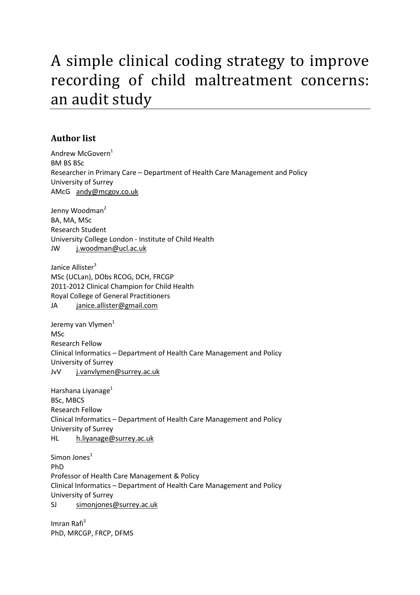## A simple clinical coding strategy to improve recording of child maltreatment concerns: an audit study

#### **Author list**

Andrew McGovern<sup>1</sup> BM BS BSc Researcher in Primary Care – Department of Health Care Management and Policy University of Surrey AMcG andy@mcgov.co.uk

Jenny Woodman<sup>2</sup> BA, MA, MSc Research Student University College London - Institute of Child Health JW j.woodman@ucl.ac.uk

Janice Allister<sup>3</sup> MSc (UCLan), DObs RCOG, DCH, FRCGP 2011-2012 Clinical Champion for Child Health Royal College of General Practitioners JA janice.allister@gmail.com

Jeremy van Vlymen<sup>1</sup> **MSc** Research Fellow Clinical Informatics – Department of Health Care Management and Policy University of Surrey JvV j.vanvlymen@surrey.ac.uk

Harshana Livanage<sup>1</sup> BSc, MBCS Research Fellow Clinical Informatics – Department of Health Care Management and Policy University of Surrey HL h.liyanage@surrey.ac.uk

Simon Jones<sup>1</sup> PhD Professor of Health Care Management & Policy Clinical Informatics – Department of Health Care Management and Policy University of Surrey SJ simonjones@surrey.ac.uk

Imran Rafi $3$ PhD, MRCGP, FRCP, DFMS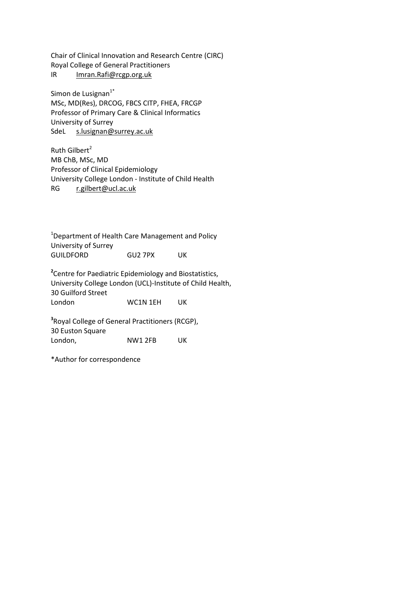Chair of Clinical Innovation and Research Centre (CIRC) Royal College of General Practitioners IR Imran.Rafi@rcgp.org.uk

Simon de Lusignan $1^*$ MSc, MD(Res), DRCOG, FBCS CITP, FHEA, FRCGP Professor of Primary Care & Clinical Informatics University of Surrey SdeL s.lusignan@surrey.ac.uk

Ruth Gilbert $2$ MB ChB, MSc, MD Professor of Clinical Epidemiology University College London - Institute of Child Health RG r.gilbert@ucl.ac.uk

<sup>1</sup>Department of Health Care Management and Policy University of Surrey GUILDFORD GU2 7PX UK

**2** Centre for Paediatric Epidemiology and Biostatistics, University College London (UCL)-Institute of Child Health, 30 Guilford Street London WC1N 1EH UK

**3** Royal College of General Practitioners (RCGP), 30 Euston Square London, NW1 2FB UK

\*Author for correspondence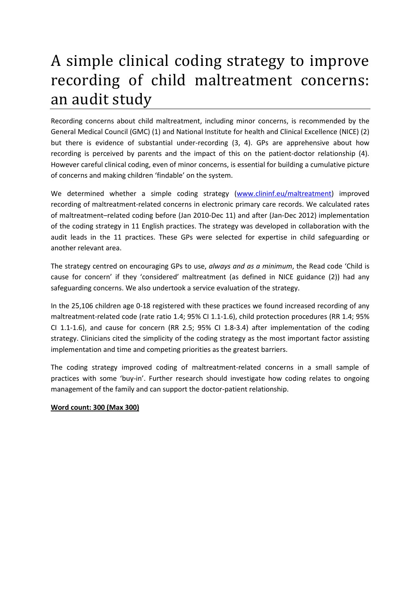# A simple clinical coding strategy to improve recording of child maltreatment concerns: an audit study

Recording concerns about child maltreatment, including minor concerns, is recommended by the General Medical Council (GMC) (1) and National Institute for health and Clinical Excellence (NICE) (2) but there is evidence of substantial under-recording (3, 4). GPs are apprehensive about how recording is perceived by parents and the impact of this on the patient-doctor relationship (4). However careful clinical coding, even of minor concerns, is essential for building a cumulative picture of concerns and making children 'findable' on the system.

We determined whether a simple coding strategy (www.clininf.eu/maltreatment) improved recording of maltreatment-related concerns in electronic primary care records. We calculated rates of maltreatment–related coding before (Jan 2010-Dec 11) and after (Jan-Dec 2012) implementation of the coding strategy in 11 English practices. The strategy was developed in collaboration with the audit leads in the 11 practices. These GPs were selected for expertise in child safeguarding or another relevant area.

The strategy centred on encouraging GPs to use, *always and as a minimum*, the Read code 'Child is cause for concern' if they 'considered' maltreatment (as defined in NICE guidance (2)) had any safeguarding concerns. We also undertook a service evaluation of the strategy.

In the 25,106 children age 0-18 registered with these practices we found increased recording of any maltreatment-related code (rate ratio 1.4; 95% CI 1.1-1.6), child protection procedures (RR 1.4; 95% CI 1.1-1.6), and cause for concern (RR 2.5; 95% CI 1.8-3.4) after implementation of the coding strategy. Clinicians cited the simplicity of the coding strategy as the most important factor assisting implementation and time and competing priorities as the greatest barriers.

The coding strategy improved coding of maltreatment-related concerns in a small sample of practices with some 'buy-in'. Further research should investigate how coding relates to ongoing management of the family and can support the doctor-patient relationship.

#### **Word count: 300 (Max 300)**